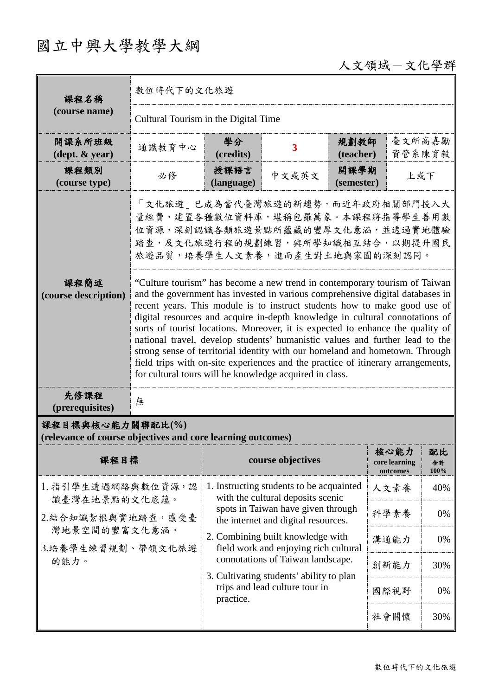## 國立中興大學教學大綱

## 人文領域-文化學群

| 課程名稱                                                                                                                                                                                   | 數位時代下的文化旅遊                                                                                                                                                                                                                                                                                                                                                                                                                                                                                                                                                                                                                                                                                                                |                                                                                                                                                                                                                                          |                                                                               |                    |                                   |                  |  |
|----------------------------------------------------------------------------------------------------------------------------------------------------------------------------------------|---------------------------------------------------------------------------------------------------------------------------------------------------------------------------------------------------------------------------------------------------------------------------------------------------------------------------------------------------------------------------------------------------------------------------------------------------------------------------------------------------------------------------------------------------------------------------------------------------------------------------------------------------------------------------------------------------------------------------|------------------------------------------------------------------------------------------------------------------------------------------------------------------------------------------------------------------------------------------|-------------------------------------------------------------------------------|--------------------|-----------------------------------|------------------|--|
| (course name)                                                                                                                                                                          | Cultural Tourism in the Digital Time                                                                                                                                                                                                                                                                                                                                                                                                                                                                                                                                                                                                                                                                                      |                                                                                                                                                                                                                                          |                                                                               |                    |                                   |                  |  |
| 開課系所班級<br>$(\text{dept.} \& \text{ year})$                                                                                                                                             | 通識教育中心                                                                                                                                                                                                                                                                                                                                                                                                                                                                                                                                                                                                                                                                                                                    | 學分<br>(credits)                                                                                                                                                                                                                          | 3                                                                             | 規劃教師<br>(teacher)  | 臺文所高嘉勵<br>資管系陳育毅                  |                  |  |
| 課程類別<br>(course type)                                                                                                                                                                  | 必修                                                                                                                                                                                                                                                                                                                                                                                                                                                                                                                                                                                                                                                                                                                        | 授課語言<br>(language)                                                                                                                                                                                                                       | 中文或英文                                                                         | 開課學期<br>(semester) | 上或下                               |                  |  |
| 「文化旅遊」已成為當代臺灣旅遊的新趨勢,而近年政府相關部門投入大<br>量經費,建置各種數位資料庫,堪稱包羅萬象。本課程將指導學生善用數<br>位資源,深刻認識各類旅遊景點所蘊藏的豐厚文化意涵,並透過實地體驗<br>踏查,及文化旅遊行程的規劃練習,與所學知識相互結合,以期提升國民<br>旅遊品質,培養學生人文素養,進而產生對土地與家園的深刻認同。<br>課程簡述 |                                                                                                                                                                                                                                                                                                                                                                                                                                                                                                                                                                                                                                                                                                                           |                                                                                                                                                                                                                                          |                                                                               |                    |                                   |                  |  |
| (course description)                                                                                                                                                                   | "Culture tourism" has become a new trend in contemporary tourism of Taiwan<br>and the government has invested in various comprehensive digital databases in<br>recent years. This module is to instruct students how to make good use of<br>digital resources and acquire in-depth knowledge in cultural connotations of<br>sorts of tourist locations. Moreover, it is expected to enhance the quality of<br>national travel, develop students' humanistic values and further lead to the<br>strong sense of territorial identity with our homeland and hometown. Through<br>field trips with on-site experiences and the practice of itinerary arrangements,<br>for cultural tours will be knowledge acquired in class. |                                                                                                                                                                                                                                          |                                                                               |                    |                                   |                  |  |
| 先修課程<br>(prerequisites)                                                                                                                                                                | 無                                                                                                                                                                                                                                                                                                                                                                                                                                                                                                                                                                                                                                                                                                                         |                                                                                                                                                                                                                                          |                                                                               |                    |                                   |                  |  |
| 課程目標與核心能力關聯配比(%)<br>(relevance of course objectives and core learning outcomes)                                                                                                        |                                                                                                                                                                                                                                                                                                                                                                                                                                                                                                                                                                                                                                                                                                                           |                                                                                                                                                                                                                                          |                                                                               |                    |                                   |                  |  |
| 課程目標                                                                                                                                                                                   |                                                                                                                                                                                                                                                                                                                                                                                                                                                                                                                                                                                                                                                                                                                           |                                                                                                                                                                                                                                          | course objectives                                                             |                    | 核心能力<br>core learning<br>outcomes | 配比<br>合計<br>100% |  |
| 1. 指引學生透過網路與數位資源,認<br>識臺灣在地景點的文化底蘊。<br>2.結合知識紮根與實地踏查,感受臺<br>灣地景空間的豐富文化意涵。<br>3.培養學生練習規劃、帶領文化旅遊                                                                                         |                                                                                                                                                                                                                                                                                                                                                                                                                                                                                                                                                                                                                                                                                                                           | 1. Instructing students to be acquainted<br>with the cultural deposits scenic<br>spots in Taiwan have given through<br>the internet and digital resources.<br>2. Combining built knowledge with<br>field work and enjoying rich cultural |                                                                               |                    | 人文素養                              | 40%              |  |
|                                                                                                                                                                                        |                                                                                                                                                                                                                                                                                                                                                                                                                                                                                                                                                                                                                                                                                                                           |                                                                                                                                                                                                                                          |                                                                               |                    | 科學素養                              | 0%               |  |
|                                                                                                                                                                                        |                                                                                                                                                                                                                                                                                                                                                                                                                                                                                                                                                                                                                                                                                                                           |                                                                                                                                                                                                                                          |                                                                               |                    | 溝通能力                              | 0%               |  |
| 的能力。                                                                                                                                                                                   |                                                                                                                                                                                                                                                                                                                                                                                                                                                                                                                                                                                                                                                                                                                           |                                                                                                                                                                                                                                          | connotations of Taiwan landscape.<br>3. Cultivating students' ability to plan |                    | 創新能力                              | 30%              |  |
|                                                                                                                                                                                        |                                                                                                                                                                                                                                                                                                                                                                                                                                                                                                                                                                                                                                                                                                                           | trips and lead culture tour in<br>practice.                                                                                                                                                                                              |                                                                               |                    | 國際視野                              | 0%               |  |
|                                                                                                                                                                                        |                                                                                                                                                                                                                                                                                                                                                                                                                                                                                                                                                                                                                                                                                                                           |                                                                                                                                                                                                                                          |                                                                               |                    | 社會關懷                              | 30%              |  |